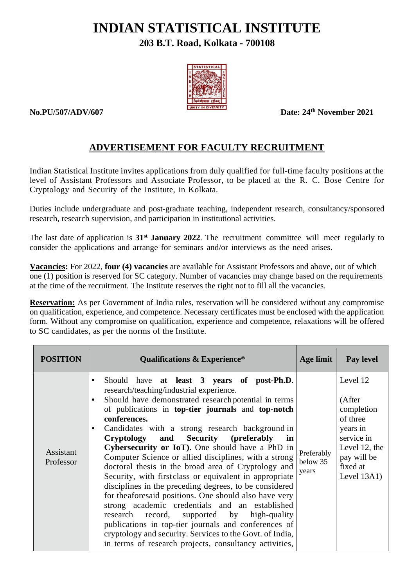# **INDIAN STATISTICAL INSTITUTE**

# **203 B.T. Road, Kolkata - 700108**



**No.PU/507/ADV/607 Date: 24th November 2021**

# **ADVERTISEMENT FOR FACULTY RECRUITMENT**

Indian Statistical Institute invites applications from duly qualified for full-time faculty positions at the level of Assistant Professors and Associate Professor, to be placed at the R. C. Bose Centre for Cryptology and Security of the Institute, in Kolkata.

Duties include undergraduate and post-graduate teaching, independent research, consultancy/sponsored research, research supervision, and participation in institutional activities.

The last date of application is **31st January 2022**. The recruitment committee will meet regularly to consider the applications and arrange for seminars and/or interviews as the need arises.

**Vacancies:** For 2022, **four (4) vacancies** are available for Assistant Professors and above, out of which one (1) position is reserved for SC category. Number of vacancies may change based on the requirements at the time of the recruitment. The Institute reserves the right not to fill all the vacancies.

**Reservation:** As per Government of India rules, reservation will be considered without any compromise on qualification, experience, and competence. Necessary certificates must be enclosed with the application form. Without any compromise on qualification, experience and competence, relaxations will be offered to SC candidates, as per the norms of the Institute.

| <b>POSITION</b>        | <b>Qualifications &amp; Experience*</b>                                                                                                                                                                                                                                                                                                                                                                                                                                                                                                                                                                                                                                                                                                                                                                                                                                                                                                                                                     | Age limit                       | Pay level                                                                                                                           |
|------------------------|---------------------------------------------------------------------------------------------------------------------------------------------------------------------------------------------------------------------------------------------------------------------------------------------------------------------------------------------------------------------------------------------------------------------------------------------------------------------------------------------------------------------------------------------------------------------------------------------------------------------------------------------------------------------------------------------------------------------------------------------------------------------------------------------------------------------------------------------------------------------------------------------------------------------------------------------------------------------------------------------|---------------------------------|-------------------------------------------------------------------------------------------------------------------------------------|
| Assistant<br>Professor | Should have at least 3 years of post-Ph.D.<br>$\bullet$<br>research/teaching/industrial experience.<br>Should have demonstrated research potential in terms<br>$\bullet$<br>of publications in top-tier journals and top-notch<br>conferences.<br>Candidates with a strong research background in<br>$\bullet$<br>Cryptology and Security (preferably<br>in<br>Cybersecurity or IoT). One should have a PhD in<br>Computer Science or allied disciplines, with a strong<br>doctoral thesis in the broad area of Cryptology and<br>Security, with first class or equivalent in appropriate<br>disciplines in the preceding degrees, to be considered<br>for the aforesaid positions. One should also have very<br>strong academic credentials and an established<br>research record, supported by high-quality<br>publications in top-tier journals and conferences of<br>cryptology and security. Services to the Govt. of India,<br>in terms of research projects, consultancy activities, | Preferably<br>below 35<br>years | Level 12<br>(After<br>completion<br>of three<br>years in<br>service in<br>Level 12, the<br>pay will be<br>fixed at<br>Level $13A1)$ |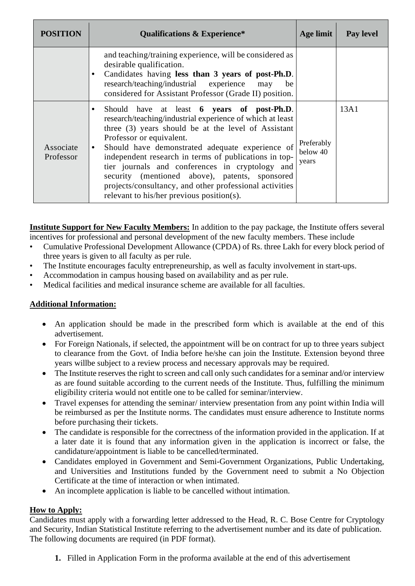| <b>POSITION</b>        | <b>Qualifications &amp; Experience*</b>                                                                                                                                                                                                                                                                                                                                                                                                                                                                                                       | Age limit                       | Pay level |
|------------------------|-----------------------------------------------------------------------------------------------------------------------------------------------------------------------------------------------------------------------------------------------------------------------------------------------------------------------------------------------------------------------------------------------------------------------------------------------------------------------------------------------------------------------------------------------|---------------------------------|-----------|
|                        | and teaching/training experience, will be considered as<br>desirable qualification.<br>Candidates having less than 3 years of post-Ph.D.<br>$\bullet$<br>research/teaching/industrial experience may<br>be<br>considered for Assistant Professor (Grade II) position.                                                                                                                                                                                                                                                                         |                                 |           |
| Associate<br>Professor | Should have at least 6 years of post-Ph.D.<br>$\bullet$<br>research/teaching/industrial experience of which at least<br>three (3) years should be at the level of Assistant<br>Professor or equivalent.<br>Should have demonstrated adequate experience of<br>$\bullet$<br>independent research in terms of publications in top-<br>tier journals and conferences in cryptology and<br>security (mentioned above), patents, sponsored<br>projects/consultancy, and other professional activities<br>relevant to his/her previous position(s). | Preferably<br>below 40<br>years | 13A1      |

**Institute Support for New Faculty Members:** In addition to the pay package, the Institute offers several incentives for professional and personal development of the new faculty members. These include

- Cumulative Professional Development Allowance (CPDA) of Rs. three Lakh for every block period of three years is given to all faculty as per rule.
- The Institute encourages faculty entrepreneurship, as well as faculty involvement in start-ups.
- Accommodation in campus housing based on availability and as per rule.
- Medical facilities and medical insurance scheme are available for all faculties.

#### **Additional Information:**

- An application should be made in the prescribed form which is available at the end of this advertisement.
- For Foreign Nationals, if selected, the appointment will be on contract for up to three years subject to clearance from the Govt. of India before he/she can join the Institute. Extension beyond three years willbe subject to a review process and necessary approvals may be required.
- The Institute reserves the right to screen and call only such candidates for a seminar and/or interview as are found suitable according to the current needs of the Institute. Thus, fulfilling the minimum eligibility criteria would not entitle one to be called for seminar/interview.
- Travel expenses for attending the seminar/ interview presentation from any point within India will be reimbursed as per the Institute norms. The candidates must ensure adherence to Institute norms before purchasing their tickets.
- The candidate is responsible for the correctness of the information provided in the application. If at a later date it is found that any information given in the application is incorrect or false, the candidature/appointment is liable to be cancelled/terminated.
- Candidates employed in Government and Semi-Government Organizations, Public Undertaking, and Universities and Institutions funded by the Government need to submit a No Objection Certificate at the time of interaction or when intimated.
- An incomplete application is liable to be cancelled without intimation.

#### **How to Apply:**

Candidates must apply with a forwarding letter addressed to the Head, R. C. Bose Centre for Cryptology and Security, Indian Statistical Institute referring to the advertisement number and its date of publication. The following documents are required (in PDF format).

**1.** Filled in Application Form in the proforma available at the end of this advertisement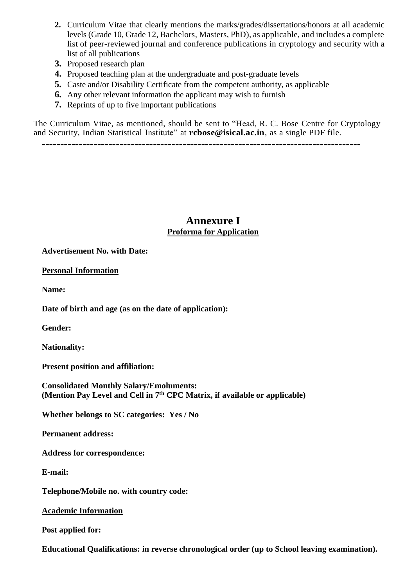- **2.** Curriculum Vitae that clearly mentions the marks/grades/dissertations/honors at all academic levels (Grade 10, Grade 12, Bachelors, Masters, PhD), as applicable, and includes a complete list of peer-reviewed journal and conference publications in cryptology and security with a list of all publications
- **3.** Proposed research plan
- **4.** Proposed teaching plan at the undergraduate and post-graduate levels
- **5.** Caste and/or Disability Certificate from the competent authority, as applicable
- **6.** Any other relevant information the applicant may wish to furnish
- **7.** Reprints of up to five important publications

The Curriculum Vitae, as mentioned, should be sent to "Head, R. C. Bose Centre for Cryptology and Security, Indian Statistical Institute" at **rcbose@isical.ac.in**, as a single PDF file.

**--------------------------------------------------------------------------------------**

# **Annexure I Proforma for Application**

**Advertisement No. with Date:**

**Personal Information**

**Name:**

**Date of birth and age (as on the date of application):**

**Gender:**

**Nationality:**

**Present position and affiliation:**

**Consolidated Monthly Salary/Emoluments: (Mention Pay Level and Cell in 7 th CPC Matrix, if available or applicable)**

**Whether belongs to SC categories: Yes / No**

**Permanent address:**

**Address for correspondence:**

**E-mail:**

**Telephone/Mobile no. with country code:**

**Academic Information**

**Post applied for:**

**Educational Qualifications: in reverse chronological order (up to School leaving examination).**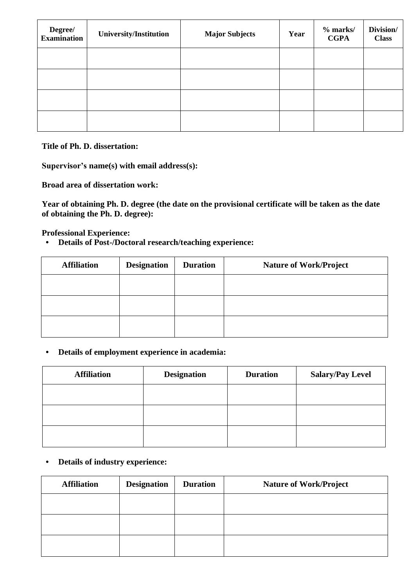| Degree/<br><b>Examination</b> | <b>University/Institution</b> | <b>Major Subjects</b> | Year | $%$ marks/<br><b>CGPA</b> | Division/<br><b>Class</b> |
|-------------------------------|-------------------------------|-----------------------|------|---------------------------|---------------------------|
|                               |                               |                       |      |                           |                           |
|                               |                               |                       |      |                           |                           |
|                               |                               |                       |      |                           |                           |
|                               |                               |                       |      |                           |                           |

**Title of Ph. D. dissertation:**

**Supervisor's name(s) with email address(s):**

**Broad area of dissertation work:**

**Year of obtaining Ph. D. degree (the date on the provisional certificate will be taken as the date of obtaining the Ph. D. degree):**

**Professional Experience:**

**• Details of Post-/Doctoral research/teaching experience:**

| <b>Affiliation</b> | <b>Designation</b> | <b>Duration</b> | <b>Nature of Work/Project</b> |
|--------------------|--------------------|-----------------|-------------------------------|
|                    |                    |                 |                               |
|                    |                    |                 |                               |
|                    |                    |                 |                               |

#### **• Details of employment experience in academia:**

| <b>Affiliation</b> | <b>Designation</b> | <b>Duration</b> | <b>Salary/Pay Level</b> |
|--------------------|--------------------|-----------------|-------------------------|
|                    |                    |                 |                         |
|                    |                    |                 |                         |
|                    |                    |                 |                         |

**• Details of industry experience:**

| <b>Affiliation</b> | <b>Designation</b> | <b>Duration</b> | <b>Nature of Work/Project</b> |
|--------------------|--------------------|-----------------|-------------------------------|
|                    |                    |                 |                               |
|                    |                    |                 |                               |
|                    |                    |                 |                               |